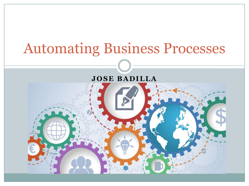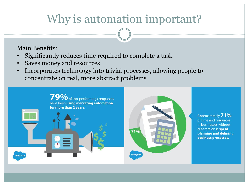# Why is automation important?

Main Benefits:

- Significantly reduces time required to complete a task
- Saves money and resources
- Incorporates technology into trivial processes, allowing people to concentrate on real, more abstract problems

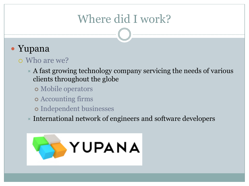# Where did I work?

## • Yupana

#### ¡ Who are we?

- $\star$  A fast growing technology company servicing the needs of various clients throughout the globe
	- ¢ Mobile operators
	- ¢ Accounting firms
	- ¢ Independent businesses
- $\star$  International network of engineers and software developers

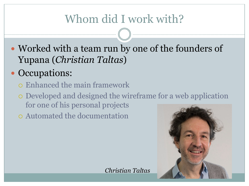# Whom did I work with?

- Worked with a team run by one of the founders of Yupana (*Christian Taltas*)
- Occupations:
	- ¡ Enhanced the main framework
	- ¡ Developed and designed the wireframe for a web application for one of his personal projects

¡ Automated the documentation



*Christian Taltas*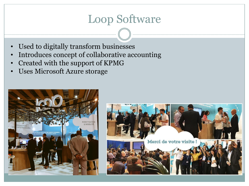## Loop Software

- Used to digitally transform businesses
- Introduces concept of collaborative accounting
- Created with the support of KPMG
- Uses Microsoft Azure storage



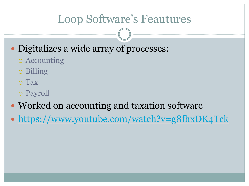## Loop Software's Feautures

- Digitalizes a wide array of processes:
	- o Accounting
	- o Billing
	- ¡ Tax
	- $o$  Payroll
- Worked on accounting and taxation software
- https://www.youtube.com/watch?v=g8fhxDK4Tck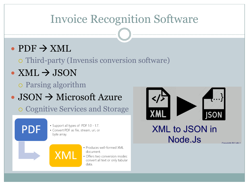## Invoice Recognition Software

### $\cdot$  PDF  $\rightarrow$  XML

o Third-party (Invensis conversion software)

## $\bullet$  XML  $\rightarrow$  JSON

¡ Parsing algorithm

## $\cdot$  JSON  $\rightarrow$  Microsoft Azure

¡ Cognitive Services and Storage

## **PDF**

- Support all types of PDF 1.0 1.7.
- · Convert PDF as file, stream, uri, or byte array.

#### · Produces well-formed XMI document.

· Offers two conversion modes: convert all text or only tabular data.



#### **XML to JSON in** Node.Js

Convright  $@$  Linfo